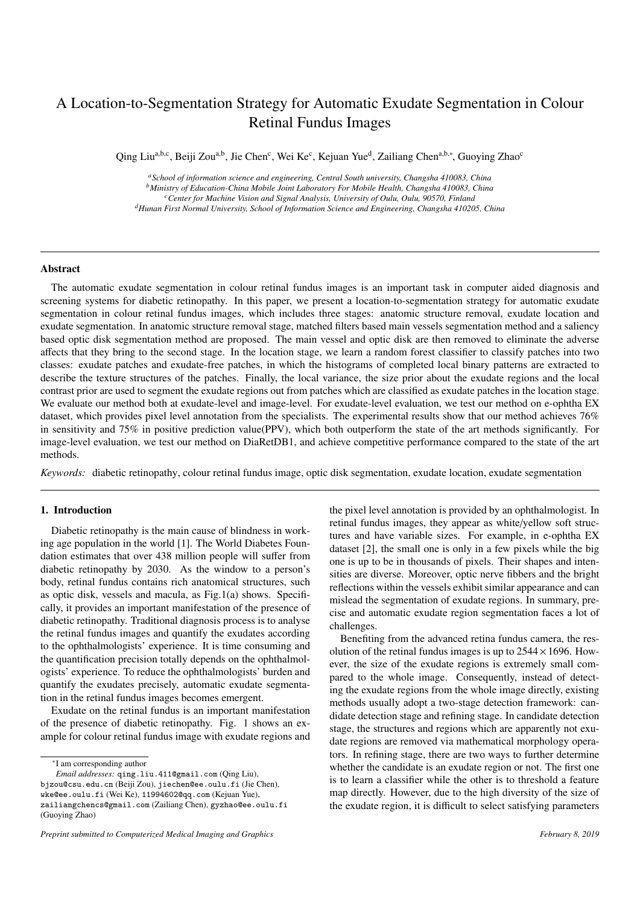# A Location-to-Segmentation Strategy for Automatic Exudate Segmentation in Colour Retinal Fundus Images

Qing Liu<sup>a,b,c</sup>, Beiji Zou<sup>a,b</sup>, Jie Chen<sup>c</sup>, Wei Ke<sup>c</sup>, Kejuan Yue<sup>d</sup>, Zailiang Chen<sup>a,b,\*</sup>, Guoying Zhao<sup>c</sup>

*<sup>a</sup>School of information science and engineering, Central South university, Changsha 410083, China <sup>b</sup>Ministry of Education-China Mobile Joint Laboratory For Mobile Health, Changsha 410083, China <sup>c</sup>Center for Machine Vision and Signal Analysis, University of Oulu, Oulu, 90570, Finland <sup>d</sup>Hunan First Normal University, School of Information Science and Engineering, Changsha 410205, China*

## Abstract

The automatic exudate segmentation in colour retinal fundus images is an important task in computer aided diagnosis and screening systems for diabetic retinopathy. In this paper, we present a location-to-segmentation strategy for automatic exudate segmentation in colour retinal fundus images, which includes three stages: anatomic structure removal, exudate location and exudate segmentation. In anatomic structure removal stage, matched filters based main vessels segmentation method and a saliency based optic disk segmentation method are proposed. The main vessel and optic disk are then removed to eliminate the adverse affects that they bring to the second stage. In the location stage, we learn a random forest classifier to classify patches into two classes: exudate patches and exudate-free patches, in which the histograms of completed local binary patterns are extracted to describe the texture structures of the patches. Finally, the local variance, the size prior about the exudate regions and the local contrast prior are used to segment the exudate regions out from patches which are classified as exudate patches in the location stage. We evaluate our method both at exudate-level and image-level. For exudate-level evaluation, we test our method on e-ophtha EX dataset, which provides pixel level annotation from the specialists. The experimental results show that our method achieves 76% in sensitivity and 75% in positive prediction value(PPV), which both outperform the state of the art methods significantly. For image-level evaluation, we test our method on DiaRetDB1, and achieve competitive performance compared to the state of the art methods.

*Keywords:* diabetic retinopathy, colour retinal fundus image, optic disk segmentation, exudate location, exudate segmentation

# 1. Introduction

Diabetic retinopathy is the main cause of blindness in working age population in the world [1]. The World Diabetes Foundation estimates that over 438 million people will suffer from diabetic retinopathy by 2030. As the window to a person's body, retinal fundus contains rich anatomical structures, such as optic disk, vessels and macula, as Fig.1(a) shows. Specifically, it provides an important manifestation of the presence of diabetic retinopathy. Traditional diagnosis process is to analyse the retinal fundus images and quantify the exudates according to the ophthalmologists' experience. It is time consuming and the quantification precision totally depends on the ophthalmologists' experience. To reduce the ophthalmologists' burden and quantify the exudates precisely, automatic exudate segmentation in the retinal fundus images becomes emergent.

Exudate on the retinal fundus is an important manifestation of the presence of diabetic retinopathy. Fig. 1 shows an example for colour retinal fundus image with exudate regions and

bjzou@csu.edu.cn (Beiji Zou), jiechen@ee.oulu.fi (Jie Chen),

the pixel level annotation is provided by an ophthalmologist. In retinal fundus images, they appear as white/yellow soft structures and have variable sizes. For example, in e-ophtha EX dataset [2], the small one is only in a few pixels while the big one is up to be in thousands of pixels. Their shapes and intensities are diverse. Moreover, optic nerve fibbers and the bright reflections within the vessels exhibit similar appearance and can mislead the segmentation of exudate regions. In summary, precise and automatic exudate region segmentation faces a lot of challenges.

Benefiting from the advanced retina fundus camera, the resolution of the retinal fundus images is up to  $2544 \times 1696$ . However, the size of the exudate regions is extremely small compared to the whole image. Consequently, instead of detecting the exudate regions from the whole image directly, existing methods usually adopt a two-stage detection framework: candidate detection stage and refining stage. In candidate detection stage, the structures and regions which are apparently not exudate regions are removed via mathematical morphology operators. In refining stage, there are two ways to further determine whether the candidate is an exudate region or not. The first one is to learn a classifier while the other is to threshold a feature map directly. However, due to the high diversity of the size of the exudate region, it is difficult to select satisfying parameters

<sup>∗</sup> I am corresponding author

*Email addresses:* qing.liu.411@gmail.com (Qing Liu),

wke@ee.oulu.fi (Wei Ke), 11994602@qq.com (Kejuan Yue), zailiangchencs@gmail.com (Zailiang Chen), gyzhao@ee.oulu.fi (Guoying Zhao)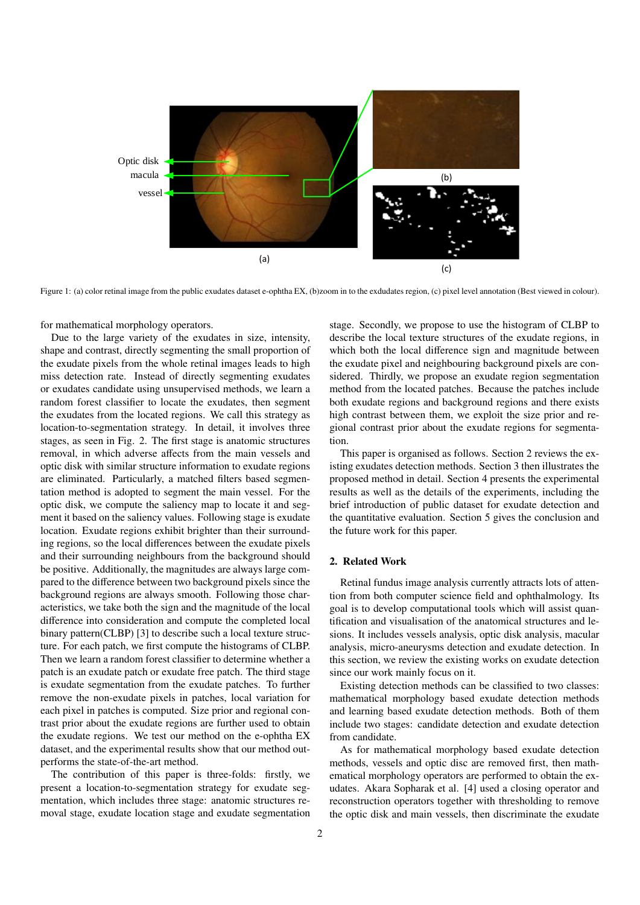

Figure 1: (a) color retinal image from the public exudates dataset e-ophtha EX, (b)zoom in to the exdudates region, (c) pixel level annotation (Best viewed in colour).

for mathematical morphology operators.

Due to the large variety of the exudates in size, intensity, shape and contrast, directly segmenting the small proportion of the exudate pixels from the whole retinal images leads to high miss detection rate. Instead of directly segmenting exudates or exudates candidate using unsupervised methods, we learn a random forest classifier to locate the exudates, then segment the exudates from the located regions. We call this strategy as location-to-segmentation strategy. In detail, it involves three stages, as seen in Fig. 2. The first stage is anatomic structures removal, in which adverse affects from the main vessels and optic disk with similar structure information to exudate regions are eliminated. Particularly, a matched filters based segmentation method is adopted to segment the main vessel. For the optic disk, we compute the saliency map to locate it and segment it based on the saliency values. Following stage is exudate location. Exudate regions exhibit brighter than their surrounding regions, so the local differences between the exudate pixels and their surrounding neighbours from the background should be positive. Additionally, the magnitudes are always large compared to the difference between two background pixels since the background regions are always smooth. Following those characteristics, we take both the sign and the magnitude of the local difference into consideration and compute the completed local binary pattern(CLBP) [3] to describe such a local texture structure. For each patch, we first compute the histograms of CLBP. Then we learn a random forest classifier to determine whether a patch is an exudate patch or exudate free patch. The third stage is exudate segmentation from the exudate patches. To further remove the non-exudate pixels in patches, local variation for each pixel in patches is computed. Size prior and regional contrast prior about the exudate regions are further used to obtain the exudate regions. We test our method on the e-ophtha EX dataset, and the experimental results show that our method outperforms the state-of-the-art method.

The contribution of this paper is three-folds: firstly, we present a location-to-segmentation strategy for exudate segmentation, which includes three stage: anatomic structures removal stage, exudate location stage and exudate segmentation

stage. Secondly, we propose to use the histogram of CLBP to describe the local texture structures of the exudate regions, in which both the local difference sign and magnitude between the exudate pixel and neighbouring background pixels are considered. Thirdly, we propose an exudate region segmentation method from the located patches. Because the patches include both exudate regions and background regions and there exists high contrast between them, we exploit the size prior and regional contrast prior about the exudate regions for segmentation.

This paper is organised as follows. Section 2 reviews the existing exudates detection methods. Section 3 then illustrates the proposed method in detail. Section 4 presents the experimental results as well as the details of the experiments, including the brief introduction of public dataset for exudate detection and the quantitative evaluation. Section 5 gives the conclusion and the future work for this paper.

# 2. Related Work

Retinal fundus image analysis currently attracts lots of attention from both computer science field and ophthalmology. Its goal is to develop computational tools which will assist quantification and visualisation of the anatomical structures and lesions. It includes vessels analysis, optic disk analysis, macular analysis, micro-aneurysms detection and exudate detection. In this section, we review the existing works on exudate detection since our work mainly focus on it.

Existing detection methods can be classified to two classes: mathematical morphology based exudate detection methods and learning based exudate detection methods. Both of them include two stages: candidate detection and exudate detection from candidate.

As for mathematical morphology based exudate detection methods, vessels and optic disc are removed first, then mathematical morphology operators are performed to obtain the exudates. Akara Sopharak et al. [4] used a closing operator and reconstruction operators together with thresholding to remove the optic disk and main vessels, then discriminate the exudate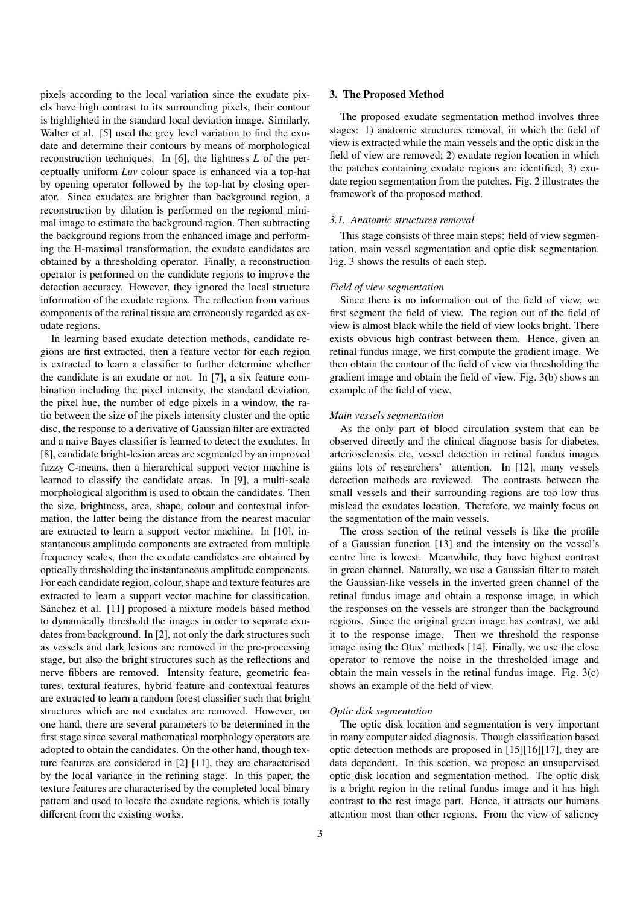pixels according to the local variation since the exudate pixels have high contrast to its surrounding pixels, their contour is highlighted in the standard local deviation image. Similarly, Walter et al. [5] used the grey level variation to find the exudate and determine their contours by means of morphological reconstruction techniques. In [6], the lightness *L* of the perceptually uniform *Luv* colour space is enhanced via a top-hat by opening operator followed by the top-hat by closing operator. Since exudates are brighter than background region, a reconstruction by dilation is performed on the regional minimal image to estimate the background region. Then subtracting the background regions from the enhanced image and performing the H-maximal transformation, the exudate candidates are obtained by a thresholding operator. Finally, a reconstruction operator is performed on the candidate regions to improve the detection accuracy. However, they ignored the local structure information of the exudate regions. The reflection from various components of the retinal tissue are erroneously regarded as exudate regions.

In learning based exudate detection methods, candidate regions are first extracted, then a feature vector for each region is extracted to learn a classifier to further determine whether the candidate is an exudate or not. In [7], a six feature combination including the pixel intensity, the standard deviation, the pixel hue, the number of edge pixels in a window, the ratio between the size of the pixels intensity cluster and the optic disc, the response to a derivative of Gaussian filter are extracted and a naive Bayes classifier is learned to detect the exudates. In [8], candidate bright-lesion areas are segmented by an improved fuzzy C-means, then a hierarchical support vector machine is learned to classify the candidate areas. In [9], a multi-scale morphological algorithm is used to obtain the candidates. Then the size, brightness, area, shape, colour and contextual information, the latter being the distance from the nearest macular are extracted to learn a support vector machine. In [10], instantaneous amplitude components are extracted from multiple frequency scales, then the exudate candidates are obtained by optically thresholding the instantaneous amplitude components. For each candidate region, colour, shape and texture features are extracted to learn a support vector machine for classification. Sánchez et al. [11] proposed a mixture models based method to dynamically threshold the images in order to separate exudates from background. In [2], not only the dark structures such as vessels and dark lesions are removed in the pre-processing stage, but also the bright structures such as the reflections and nerve fibbers are removed. Intensity feature, geometric features, textural features, hybrid feature and contextual features are extracted to learn a random forest classifier such that bright structures which are not exudates are removed. However, on one hand, there are several parameters to be determined in the first stage since several mathematical morphology operators are adopted to obtain the candidates. On the other hand, though texture features are considered in [2] [11], they are characterised by the local variance in the refining stage. In this paper, the texture features are characterised by the completed local binary pattern and used to locate the exudate regions, which is totally different from the existing works.

#### 3. The Proposed Method

The proposed exudate segmentation method involves three stages: 1) anatomic structures removal, in which the field of view is extracted while the main vessels and the optic disk in the field of view are removed; 2) exudate region location in which the patches containing exudate regions are identified; 3) exudate region segmentation from the patches. Fig. 2 illustrates the framework of the proposed method.

## *3.1. Anatomic structures removal*

This stage consists of three main steps: field of view segmentation, main vessel segmentation and optic disk segmentation. Fig. 3 shows the results of each step.

# *Field of view segmentation*

Since there is no information out of the field of view, we first segment the field of view. The region out of the field of view is almost black while the field of view looks bright. There exists obvious high contrast between them. Hence, given an retinal fundus image, we first compute the gradient image. We then obtain the contour of the field of view via thresholding the gradient image and obtain the field of view. Fig. 3(b) shows an example of the field of view.

### *Main vessels segmentation*

As the only part of blood circulation system that can be observed directly and the clinical diagnose basis for diabetes, arteriosclerosis etc, vessel detection in retinal fundus images gains lots of researchers' attention. In [12], many vessels detection methods are reviewed. The contrasts between the small vessels and their surrounding regions are too low thus mislead the exudates location. Therefore, we mainly focus on the segmentation of the main vessels.

The cross section of the retinal vessels is like the profile of a Gaussian function [13] and the intensity on the vessel's centre line is lowest. Meanwhile, they have highest contrast in green channel. Naturally, we use a Gaussian filter to match the Gaussian-like vessels in the inverted green channel of the retinal fundus image and obtain a response image, in which the responses on the vessels are stronger than the background regions. Since the original green image has contrast, we add it to the response image. Then we threshold the response image using the Otus' methods [14]. Finally, we use the close operator to remove the noise in the thresholded image and obtain the main vessels in the retinal fundus image. Fig. 3(c) shows an example of the field of view.

## *Optic disk segmentation*

The optic disk location and segmentation is very important in many computer aided diagnosis. Though classification based optic detection methods are proposed in [15][16][17], they are data dependent. In this section, we propose an unsupervised optic disk location and segmentation method. The optic disk is a bright region in the retinal fundus image and it has high contrast to the rest image part. Hence, it attracts our humans attention most than other regions. From the view of saliency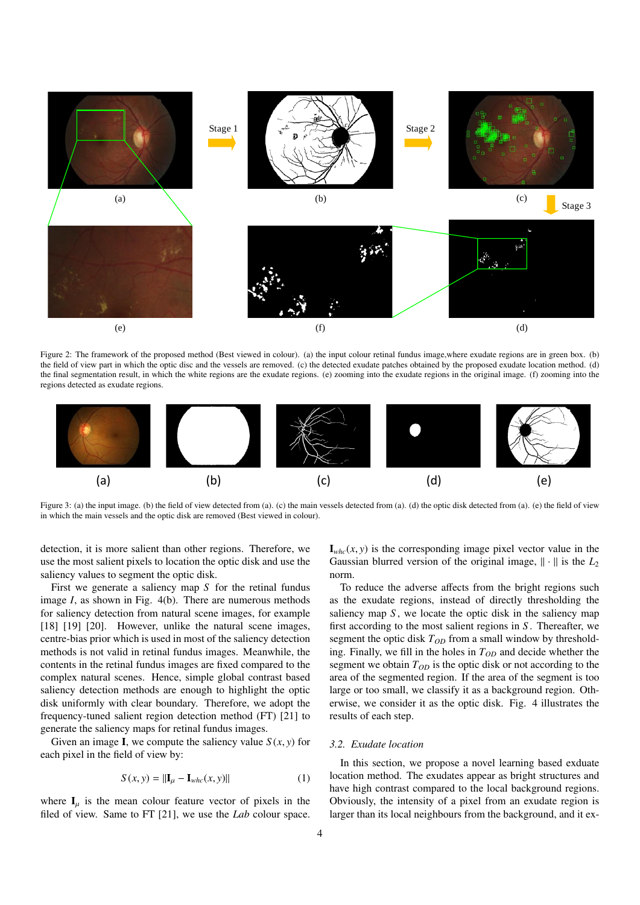

Figure 2: The framework of the proposed method (Best viewed in colour). (a) the input colour retinal fundus image,where exudate regions are in green box. (b) the field of view part in which the optic disc and the vessels are removed. (c) the detected exudate patches obtained by the proposed exudate location method. (d) the final segmentation result, in which the white regions are the exudate regions. (e) zooming into the exudate regions in the original image. (f) zooming into the regions detected as exudate regions.



Figure 3: (a) the input image. (b) the field of view detected from (a). (c) the main vessels detected from (a). (d) the optic disk detected from (a). (e) the field of view in which the main vessels and the optic disk are removed (Best viewed in colour).

detection, it is more salient than other regions. Therefore, we use the most salient pixels to location the optic disk and use the saliency values to segment the optic disk.

First we generate a saliency map *S* for the retinal fundus image *I*, as shown in Fig. 4(b). There are numerous methods for saliency detection from natural scene images, for example [18] [19] [20]. However, unlike the natural scene images, centre-bias prior which is used in most of the saliency detection methods is not valid in retinal fundus images. Meanwhile, the contents in the retinal fundus images are fixed compared to the complex natural scenes. Hence, simple global contrast based saliency detection methods are enough to highlight the optic disk uniformly with clear boundary. Therefore, we adopt the frequency-tuned salient region detection method (FT) [21] to generate the saliency maps for retinal fundus images.

Given an image **I**, we compute the saliency value  $S(x, y)$  for each pixel in the field of view by:

$$
S(x, y) = ||\mathbf{I}_{\mu} - \mathbf{I}_{\text{whc}}(x, y)|| \tag{1}
$$

where  $I_{\mu}$  is the mean colour feature vector of pixels in the filed of view. Same to FT [21], we use the *Lab* colour space.

 $I_{whc}(x, y)$  is the corresponding image pixel vector value in the Gaussian blurred version of the original image,  $\|\cdot\|$  is the  $L_2$ norm.

To reduce the adverse affects from the bright regions such as the exudate regions, instead of directly thresholding the saliency map *S*, we locate the optic disk in the saliency map first according to the most salient regions in *S* . Thereafter, we segment the optic disk *TOD* from a small window by thresholding. Finally, we fill in the holes in *TOD* and decide whether the segment we obtain  $T_{OD}$  is the optic disk or not according to the area of the segmented region. If the area of the segment is too large or too small, we classify it as a background region. Otherwise, we consider it as the optic disk. Fig. 4 illustrates the results of each step.

# *3.2. Exudate location*

In this section, we propose a novel learning based exduate location method. The exudates appear as bright structures and have high contrast compared to the local background regions. Obviously, the intensity of a pixel from an exudate region is larger than its local neighbours from the background, and it ex-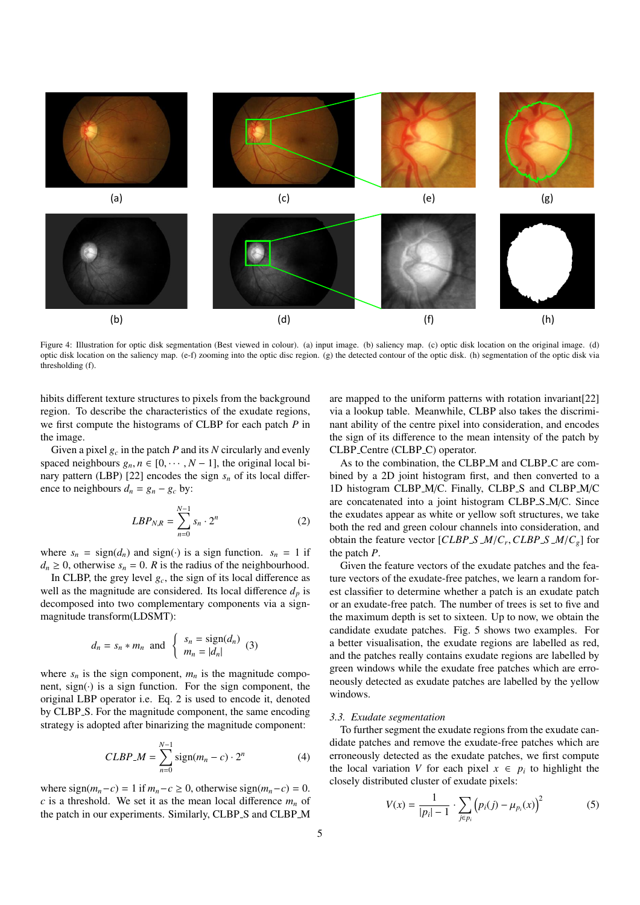

Figure 4: Illustration for optic disk segmentation (Best viewed in colour). (a) input image. (b) saliency map. (c) optic disk location on the original image. (d) optic disk location on the saliency map. (e-f) zooming into the optic disc region. (g) the detected contour of the optic disk. (h) segmentation of the optic disk via thresholding (f).

hibits different texture structures to pixels from the background region. To describe the characteristics of the exudate regions, we first compute the histograms of CLBP for each patch *P* in the image.

Given a pixel *g<sup>c</sup>* in the patch *P* and its *N* circularly and evenly spaced neighbours  $g_n, n \in [0, \dots, N-1]$ , the original local binary pattern (LBP) [22] encodes the sign  $s_n$  of its local difference to neighbours  $d_n = g_n - g_c$  by:

$$
LBP_{N,R} = \sum_{n=0}^{N-1} s_n \cdot 2^n
$$
 (2)

where  $s_n = \text{sign}(d_n)$  and  $\text{sign}(\cdot)$  is a sign function.  $s_n = 1$  if  $d_n \geq 0$ , otherwise  $s_n = 0$ . *R* is the radius of the neighbourhood.

In CLBP, the grey level  $g_c$ , the sign of its local difference as well as the magnitude are considered. Its local difference  $d<sub>p</sub>$  is decomposed into two complementary components via a signmagnitude transform(LDSMT):

$$
d_n = s_n * m_n \text{ and } \begin{cases} s_n = \text{sign}(d_n) \\ m_n = |d_n| \end{cases} (3)
$$

where  $s_n$  is the sign component,  $m_n$  is the magnitude component, sign $(\cdot)$  is a sign function. For the sign component, the original LBP operator i.e. Eq. 2 is used to encode it, denoted by CLBP S. For the magnitude component, the same encoding strategy is adopted after binarizing the magnitude component:

$$
CLBP.M = \sum_{n=0}^{N-1} sign(m_n - c) \cdot 2^n \tag{4}
$$

where  $sign(m_n - c) = 1$  if  $m_n - c \ge 0$ , otherwise  $sign(m_n - c) = 0$ . *c* is a threshold. We set it as the mean local difference  $m_n$  of the patch in our experiments. Similarly, CLBP\_S and CLBP\_M are mapped to the uniform patterns with rotation invariant[22] via a lookup table. Meanwhile, CLBP also takes the discriminant ability of the centre pixel into consideration, and encodes the sign of its difference to the mean intensity of the patch by CLBP\_Centre (CLBP\_C) operator.

As to the combination, the CLBP\_M and CLBP\_C are combined by a 2D joint histogram first, and then converted to a 1D histogram CLBP\_M/C. Finally, CLBP\_S and CLBP\_M/C are concatenated into a joint histogram CLBP S M/C. Since the exudates appear as white or yellow soft structures, we take both the red and green colour channels into consideration, and obtain the feature vector  $[CLBP.S.M/C_r, CLBP.S.M/C_g]$  for the patch *P* the patch *P*.

Given the feature vectors of the exudate patches and the feature vectors of the exudate-free patches, we learn a random forest classifier to determine whether a patch is an exudate patch or an exudate-free patch. The number of trees is set to five and the maximum depth is set to sixteen. Up to now, we obtain the candidate exudate patches. Fig. 5 shows two examples. For a better visualisation, the exudate regions are labelled as red, and the patches really contains exudate regions are labelled by green windows while the exudate free patches which are erroneously detected as exudate patches are labelled by the yellow windows.

## *3.3. Exudate segmentation*

To further segment the exudate regions from the exudate candidate patches and remove the exudate-free patches which are erroneously detected as the exudate patches, we first compute the local variation *V* for each pixel  $x \in p_i$  to highlight the closely distributed cluster of exudate pixels:

$$
V(x) = \frac{1}{|p_i| - 1} \cdot \sum_{j \in p_i} (p_i(j) - \mu_{p_i}(x))^2
$$
 (5)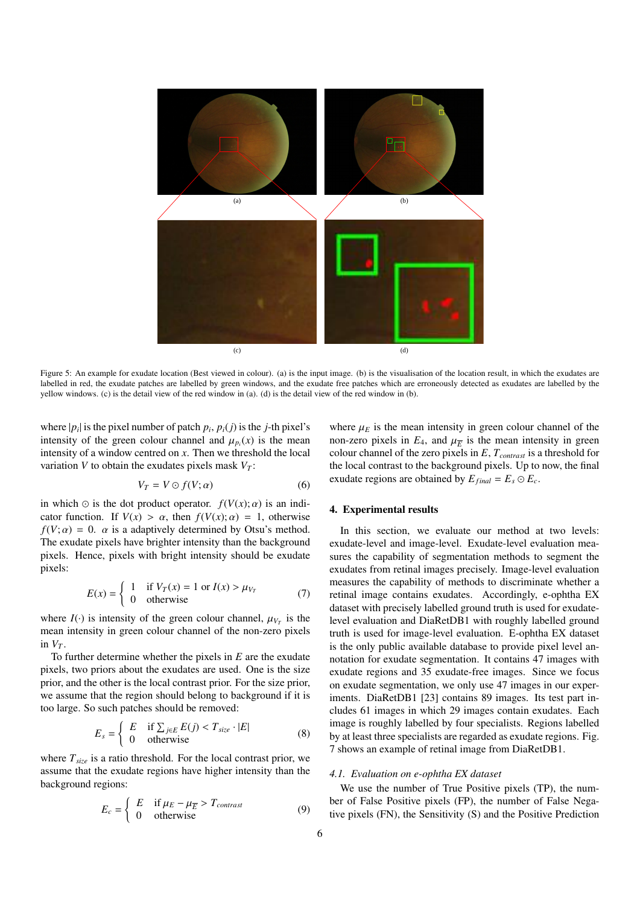

Figure 5: An example for exudate location (Best viewed in colour). (a) is the input image. (b) is the visualisation of the location result, in which the exudates are labelled in red, the exudate patches are labelled by green windows, and the exudate free patches which are erroneously detected as exudates are labelled by the yellow windows. (c) is the detail view of the red window in (a). (d) is the detail view of the red window in (b).

where  $|p_i|$  is the pixel number of patch  $p_i$ ,  $p_i(j)$  is the *j*-th pixel's intensity of the green colour channel and  $\mu_{p_i}(x)$  is the mean<br>intensity of a window centred on x. Then we threshold the local intensity of a window centred on *x*. Then we threshold the local variation *V* to obtain the exudates pixels mask  $V_T$ :

$$
V_T = V \odot f(V; \alpha) \tag{6}
$$

in which  $\odot$  is the dot product operator.  $f(V(x); \alpha)$  is an indicator function. If  $V(x) > \alpha$ , then  $f(V(x); \alpha) = 1$ , otherwise  $f(V; \alpha) = 0$ .  $\alpha$  is a adaptively determined by Otsu's method. The exudate pixels have brighter intensity than the background pixels. Hence, pixels with bright intensity should be exudate pixels:

$$
E(x) = \begin{cases} 1 & \text{if } V_T(x) = 1 \text{ or } I(x) > \mu_{V_T} \\ 0 & \text{otherwise} \end{cases}
$$
(7)

where  $I(\cdot)$  is intensity of the green colour channel,  $\mu_{V_T}$  is the mean intensity in green colour channel of the non-zero pixels mean intensity in green colour channel of the non-zero pixels in  $V_T$ .

To further determine whether the pixels in *E* are the exudate pixels, two priors about the exudates are used. One is the size prior, and the other is the local contrast prior. For the size prior, we assume that the region should belong to background if it is too large. So such patches should be removed:

$$
E_s = \begin{cases} E & \text{if } \sum_{j \in E} E(j) < T_{size} \cdot |E| \\ 0 & \text{otherwise} \end{cases} \tag{8}
$$

where  $T_{size}$  is a ratio threshold. For the local contrast prior, we assume that the exudate regions have higher intensity than the background regions:

$$
E_c = \begin{cases} E & \text{if } \mu_E - \mu_{\overline{E}} > T_{contrast} \\ 0 & \text{otherwise} \end{cases}
$$
 (9)

where  $\mu_E$  is the mean intensity in green colour channel of the non-zero pixels in  $E_4$ , and  $\mu_{\overline{E}}$  is the mean intensity in green<br>colour channel of the zero pixels in  $F$ ,  $T$  is a threshold for colour channel of the zero pixels in *E*, *Tcontrast* is a threshold for the local contrast to the background pixels. Up to now, the final exudate regions are obtained by  $E_{final} = E_s \odot E_c$ .

## 4. Experimental results

In this section, we evaluate our method at two levels: exudate-level and image-level. Exudate-level evaluation measures the capability of segmentation methods to segment the exudates from retinal images precisely. Image-level evaluation measures the capability of methods to discriminate whether a retinal image contains exudates. Accordingly, e-ophtha EX dataset with precisely labelled ground truth is used for exudatelevel evaluation and DiaRetDB1 with roughly labelled ground truth is used for image-level evaluation. E-ophtha EX dataset is the only public available database to provide pixel level annotation for exudate segmentation. It contains 47 images with exudate regions and 35 exudate-free images. Since we focus on exudate segmentation, we only use 47 images in our experiments. DiaRetDB1 [23] contains 89 images. Its test part includes 61 images in which 29 images contain exudates. Each image is roughly labelled by four specialists. Regions labelled by at least three specialists are regarded as exudate regions. Fig. 7 shows an example of retinal image from DiaRetDB1.

#### *4.1. Evaluation on e-ophtha EX dataset*

We use the number of True Positive pixels (TP), the number of False Positive pixels (FP), the number of False Negative pixels (FN), the Sensitivity (S) and the Positive Prediction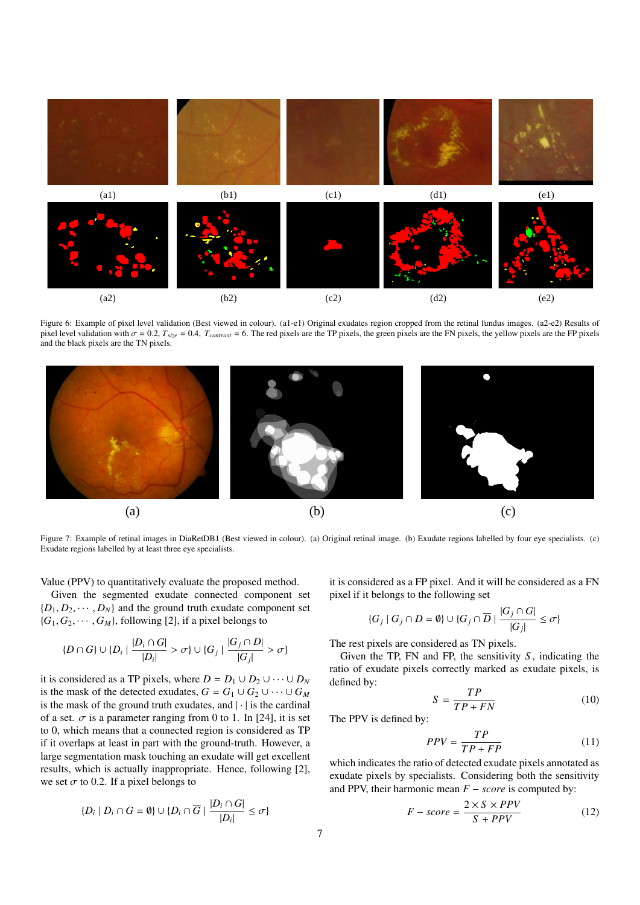

Figure 6: Example of pixel level validation (Best viewed in colour). (a1-e1) Original exudates region cropped from the retinal fundus images. (a2-e2) Results of pixel level validation with  $\sigma = 0.2$ ,  $T_{size} = 0.4$ ,  $T_{contrast} = 6$ . The red pixels are the TP pixels, the green pixels are the FN pixels, the yellow pixels are the FP pixels and the black pixels are the TN pixels.



Figure 7: Example of retinal images in DiaRetDB1 (Best viewed in colour). (a) Original retinal image. (b) Exudate regions labelled by four eye specialists. (c) Exudate regions labelled by at least three eye specialists.

Value (PPV) to quantitatively evaluate the proposed method.

Given the segmented exudate connected component set  ${D_1, D_2, \cdots, D_N}$  and the ground truth exudate component set  ${G_1, G_2, \cdots, G_M}$ , following [2], if a pixel belongs to

$$
\{D\cap G\}\cup\{D_i\mid \frac{|D_i\cap G|}{|D_i|}>\sigma\}\cup\{G_j\mid \frac{|G_j\cap D|}{|G_j|}>\sigma\}
$$

it is considered as a TP pixels, where  $D = D_1 \cup D_2 \cup \cdots \cup D_N$ is the mask of the detected exudates,  $G = G_1 \cup G_2 \cup \cdots \cup G_M$ is the mask of the ground truth exudates, and  $|\cdot|$  is the cardinal of a set.  $\sigma$  is a parameter ranging from 0 to 1. In [24], it is set to 0, which means that a connected region is considered as TP if it overlaps at least in part with the ground-truth. However, a large segmentation mask touching an exudate will get excellent results, which is actually inappropriate. Hence, following [2], we set  $\sigma$  to 0.2. If a pixel belongs to

$$
\{D_i \mid D_i \cap G = \emptyset\} \cup \{D_i \cap \overline{G} \mid \frac{|D_i \cap G|}{|D_i|} \leq \sigma\}
$$

it is considered as a FP pixel. And it will be considered as a FN pixel if it belongs to the following set

$$
\{G_j \mid G_j \cap D = \emptyset\} \cup \{G_j \cap \overline{D} \mid \frac{|G_j \cap G|}{|G_j|} \leq \sigma\}
$$

The rest pixels are considered as TN pixels.

Given the TP, FN and FP, the sensitivity *S* , indicating the ratio of exudate pixels correctly marked as exudate pixels, is defined by:

$$
S = \frac{TP}{TP + FN} \tag{10}
$$

The PPV is defined by:

$$
PPV = \frac{TP}{TP + FP} \tag{11}
$$

which indicates the ratio of detected exudate pixels annotated as exudate pixels by specialists. Considering both the sensitivity and PPV, their harmonic mean *F* − *score* is computed by:

$$
F-score = \frac{2 \times S \times PPV}{S + PPV}
$$
 (12)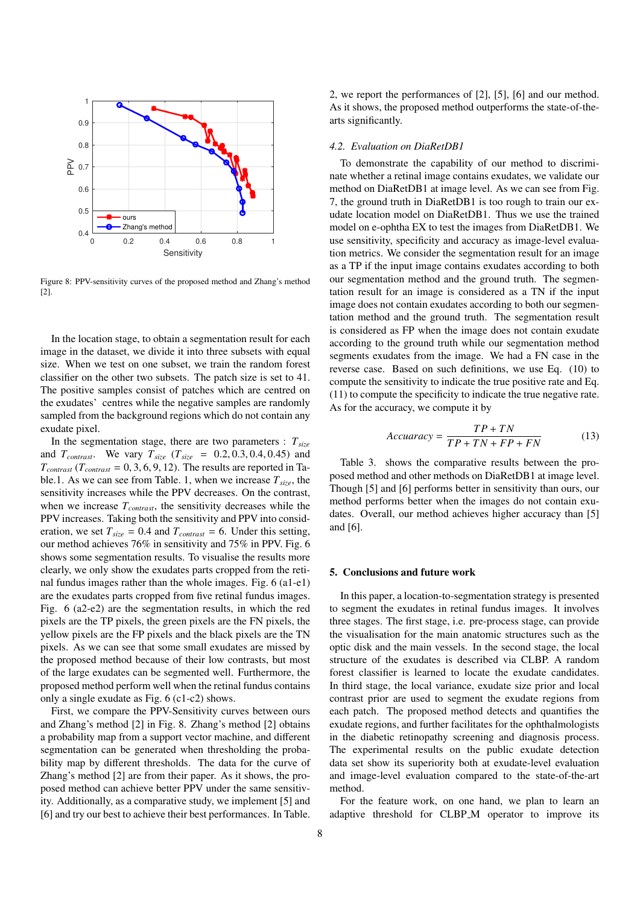

Figure 8: PPV-sensitivity curves of the proposed method and Zhang's method [2].

In the location stage, to obtain a segmentation result for each image in the dataset, we divide it into three subsets with equal size. When we test on one subset, we train the random forest classifier on the other two subsets. The patch size is set to 41. The positive samples consist of patches which are centred on the exudates' centres while the negative samples are randomly sampled from the background regions which do not contain any exudate pixel.

In the segmentation stage, there are two parameters : *Tsize* and  $T_{contrast}$ . We vary  $T_{size}$  ( $T_{size}$  = 0.2, 0.3, 0.4, 0.45) and  $T_{contrast}$  ( $T_{contrast}$  = 0, 3, 6, 9, 12). The results are reported in Table.1. As we can see from Table. 1, when we increase *Tsize*, the sensitivity increases while the PPV decreases. On the contrast, when we increase *Tcontrast*, the sensitivity decreases while the PPV increases. Taking both the sensitivity and PPV into consideration, we set  $T_{size} = 0.4$  and  $T_{contrast} = 6$ . Under this setting, our method achieves 76% in sensitivity and 75% in PPV. Fig. 6 shows some segmentation results. To visualise the results more clearly, we only show the exudates parts cropped from the retinal fundus images rather than the whole images. Fig. 6 (a1-e1) are the exudates parts cropped from five retinal fundus images. Fig. 6 (a2-e2) are the segmentation results, in which the red pixels are the TP pixels, the green pixels are the FN pixels, the yellow pixels are the FP pixels and the black pixels are the TN pixels. As we can see that some small exudates are missed by the proposed method because of their low contrasts, but most of the large exudates can be segmented well. Furthermore, the proposed method perform well when the retinal fundus contains only a single exudate as Fig. 6 (c1-c2) shows.

First, we compare the PPV-Sensitivity curves between ours and Zhang's method [2] in Fig. 8. Zhang's method [2] obtains a probability map from a support vector machine, and different segmentation can be generated when thresholding the probability map by different thresholds. The data for the curve of Zhang's method [2] are from their paper. As it shows, the proposed method can achieve better PPV under the same sensitivity. Additionally, as a comparative study, we implement [5] and [6] and try our best to achieve their best performances. In Table.

2, we report the performances of [2], [5], [6] and our method. As it shows, the proposed method outperforms the state-of-thearts significantly.

## *4.2. Evaluation on DiaRetDB1*

To demonstrate the capability of our method to discriminate whether a retinal image contains exudates, we validate our method on DiaRetDB1 at image level. As we can see from Fig. 7, the ground truth in DiaRetDB1 is too rough to train our exudate location model on DiaRetDB1. Thus we use the trained model on e-ophtha EX to test the images from DiaRetDB1. We use sensitivity, specificity and accuracy as image-level evaluation metrics. We consider the segmentation result for an image as a TP if the input image contains exudates according to both our segmentation method and the ground truth. The segmentation result for an image is considered as a TN if the input image does not contain exudates according to both our segmentation method and the ground truth. The segmentation result is considered as FP when the image does not contain exudate according to the ground truth while our segmentation method segments exudates from the image. We had a FN case in the reverse case. Based on such definitions, we use Eq. (10) to compute the sensitivity to indicate the true positive rate and Eq. (11) to compute the specificity to indicate the true negative rate. As for the accuracy, we compute it by

$$
Accuracy = \frac{TP + TN}{TP + TN + FP + FN}
$$
 (13)

Table 3. shows the comparative results between the proposed method and other methods on DiaRetDB1 at image level. Though [5] and [6] performs better in sensitivity than ours, our method performs better when the images do not contain exudates. Overall, our method achieves higher accuracy than [5] and [6].

## 5. Conclusions and future work

In this paper, a location-to-segmentation strategy is presented to segment the exudates in retinal fundus images. It involves three stages. The first stage, i.e. pre-process stage, can provide the visualisation for the main anatomic structures such as the optic disk and the main vessels. In the second stage, the local structure of the exudates is described via CLBP. A random forest classifier is learned to locate the exudate candidates. In third stage, the local variance, exudate size prior and local contrast prior are used to segment the exudate regions from each patch. The proposed method detects and quantifies the exudate regions, and further facilitates for the ophthalmologists in the diabetic retinopathy screening and diagnosis process. The experimental results on the public exudate detection data set show its superiority both at exudate-level evaluation and image-level evaluation compared to the state-of-the-art method.

For the feature work, on one hand, we plan to learn an adaptive threshold for CLBP M operator to improve its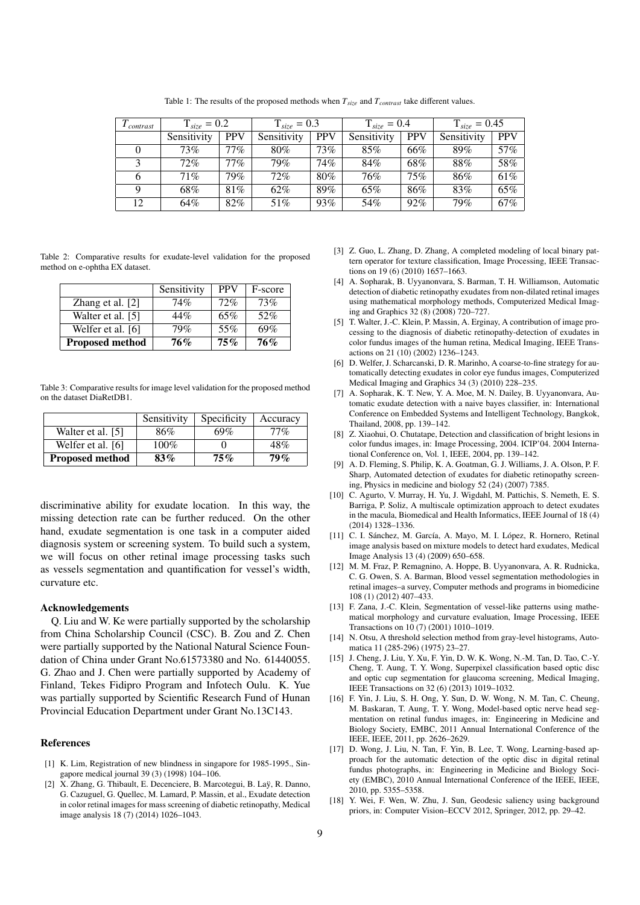| $T_{contrast}$ | $T_{size} = 0.2$ |            | $T_{size} = 0.3$ |            | $T_{size} = 0.4$ |            | $T_{size} = 0.45$ |            |
|----------------|------------------|------------|------------------|------------|------------------|------------|-------------------|------------|
|                | Sensitivity      | <b>PPV</b> | Sensitivity      | <b>PPV</b> | Sensitivity      | <b>PPV</b> | Sensitivity       | <b>PPV</b> |
|                | 73%              | 77%        | 80%              | 73%        | 85%              | 66%        | 89%               | 57%        |
| $\mathbf{r}$   | 72%              | 77%        | 79%              | 74%        | 84%              | 68%        | 88%               | 58%        |
|                | 71%              | 79%        | 72%              | 80%        | 76%              | 75%        | 86%               | 61%        |
| 9              | 68%              | 81%        | 62%              | 89%        | 65%              | 86%        | 83%               | 65%        |
| 12             | 64%              | 82%        | 51%              | 93%        | 54%              | 92%        | 79%               | 67%        |

Table 1: The results of the proposed methods when *Tsize* and *Tcontrast* take different values.

Table 2: Comparative results for exudate-level validation for the proposed method on e-ophtha EX dataset.

|                        | Sensitivity | <b>PPV</b> | F-score |
|------------------------|-------------|------------|---------|
| Zhang et al. $[2]$     | 74%         | 72%        | 73%     |
| Walter et al. [5]      | 44%         | 65%        | 52%     |
| Welfer et al. [6]      | 79%         | 55%        | 69%     |
| <b>Proposed method</b> | 76%         | 75%        | 76%     |

Table 3: Comparative results for image level validation for the proposed method on the dataset DiaRetDB1.

|                        | Sensitivity | Specificity | Accuracy |
|------------------------|-------------|-------------|----------|
| Walter et al. [5]      | 86%         | 69%         | 77%      |
| Welfer et al. [6]      | $100\%$     |             | 48%      |
| <b>Proposed method</b> | $83\%$      | 75%         | $79\%$   |

discriminative ability for exudate location. In this way, the missing detection rate can be further reduced. On the other hand, exudate segmentation is one task in a computer aided diagnosis system or screening system. To build such a system, we will focus on other retinal image processing tasks such as vessels segmentation and quantification for vessel's width, curvature etc.

#### Acknowledgements

Q. Liu and W. Ke were partially supported by the scholarship from China Scholarship Council (CSC). B. Zou and Z. Chen were partially supported by the National Natural Science Foundation of China under Grant No.61573380 and No. 61440055. G. Zhao and J. Chen were partially supported by Academy of Finland, Tekes Fidipro Program and Infotech Oulu. K. Yue was partially supported by Scientific Research Fund of Hunan Provincial Education Department under Grant No.13C143.

#### References

- [1] K. Lim, Registration of new blindness in singapore for 1985-1995., Singapore medical journal 39 (3) (1998) 104–106.
- [2] X. Zhang, G. Thibault, E. Decenciere, B. Marcotegui, B. Laÿ, R. Danno, G. Cazuguel, G. Quellec, M. Lamard, P. Massin, et al., Exudate detection in color retinal images for mass screening of diabetic retinopathy, Medical image analysis 18 (7) (2014) 1026–1043.
- [3] Z. Guo, L. Zhang, D. Zhang, A completed modeling of local binary pattern operator for texture classification, Image Processing, IEEE Transactions on 19 (6) (2010) 1657–1663.
- [4] A. Sopharak, B. Uyyanonvara, S. Barman, T. H. Williamson, Automatic detection of diabetic retinopathy exudates from non-dilated retinal images using mathematical morphology methods, Computerized Medical Imaging and Graphics 32 (8) (2008) 720–727.
- [5] T. Walter, J.-C. Klein, P. Massin, A. Erginay, A contribution of image processing to the diagnosis of diabetic retinopathy-detection of exudates in color fundus images of the human retina, Medical Imaging, IEEE Transactions on 21 (10) (2002) 1236–1243.
- [6] D. Welfer, J. Scharcanski, D. R. Marinho, A coarse-to-fine strategy for automatically detecting exudates in color eye fundus images, Computerized Medical Imaging and Graphics 34 (3) (2010) 228–235.
- [7] A. Sopharak, K. T. New, Y. A. Moe, M. N. Dailey, B. Uyyanonvara, Automatic exudate detection with a naive bayes classifier, in: International Conference on Embedded Systems and Intelligent Technology, Bangkok, Thailand, 2008, pp. 139–142.
- [8] Z. Xiaohui, O. Chutatape, Detection and classification of bright lesions in color fundus images, in: Image Processing, 2004. ICIP'04. 2004 International Conference on, Vol. 1, IEEE, 2004, pp. 139–142.
- [9] A. D. Fleming, S. Philip, K. A. Goatman, G. J. Williams, J. A. Olson, P. F. Sharp, Automated detection of exudates for diabetic retinopathy screening, Physics in medicine and biology 52 (24) (2007) 7385.
- [10] C. Agurto, V. Murray, H. Yu, J. Wigdahl, M. Pattichis, S. Nemeth, E. S. Barriga, P. Soliz, A multiscale optimization approach to detect exudates in the macula, Biomedical and Health Informatics, IEEE Journal of 18 (4) (2014) 1328–1336.
- [11] C. I. Sánchez, M. García, A. Mayo, M. I. López, R. Hornero, Retinal image analysis based on mixture models to detect hard exudates, Medical Image Analysis 13 (4) (2009) 650–658.
- [12] M. M. Fraz, P. Remagnino, A. Hoppe, B. Uyyanonvara, A. R. Rudnicka, C. G. Owen, S. A. Barman, Blood vessel segmentation methodologies in retinal images–a survey, Computer methods and programs in biomedicine 108 (1) (2012) 407–433.
- [13] F. Zana, J.-C. Klein, Segmentation of vessel-like patterns using mathematical morphology and curvature evaluation, Image Processing, IEEE Transactions on 10 (7) (2001) 1010–1019.
- [14] N. Otsu, A threshold selection method from gray-level histograms, Automatica 11 (285-296) (1975) 23–27.
- [15] J. Cheng, J. Liu, Y. Xu, F. Yin, D. W. K. Wong, N.-M. Tan, D. Tao, C.-Y. Cheng, T. Aung, T. Y. Wong, Superpixel classification based optic disc and optic cup segmentation for glaucoma screening, Medical Imaging, IEEE Transactions on 32 (6) (2013) 1019–1032.
- [16] F. Yin, J. Liu, S. H. Ong, Y. Sun, D. W. Wong, N. M. Tan, C. Cheung, M. Baskaran, T. Aung, T. Y. Wong, Model-based optic nerve head segmentation on retinal fundus images, in: Engineering in Medicine and Biology Society, EMBC, 2011 Annual International Conference of the IEEE, IEEE, 2011, pp. 2626–2629.
- [17] D. Wong, J. Liu, N. Tan, F. Yin, B. Lee, T. Wong, Learning-based approach for the automatic detection of the optic disc in digital retinal fundus photographs, in: Engineering in Medicine and Biology Society (EMBC), 2010 Annual International Conference of the IEEE, IEEE, 2010, pp. 5355–5358.
- [18] Y. Wei, F. Wen, W. Zhu, J. Sun, Geodesic saliency using background priors, in: Computer Vision–ECCV 2012, Springer, 2012, pp. 29–42.